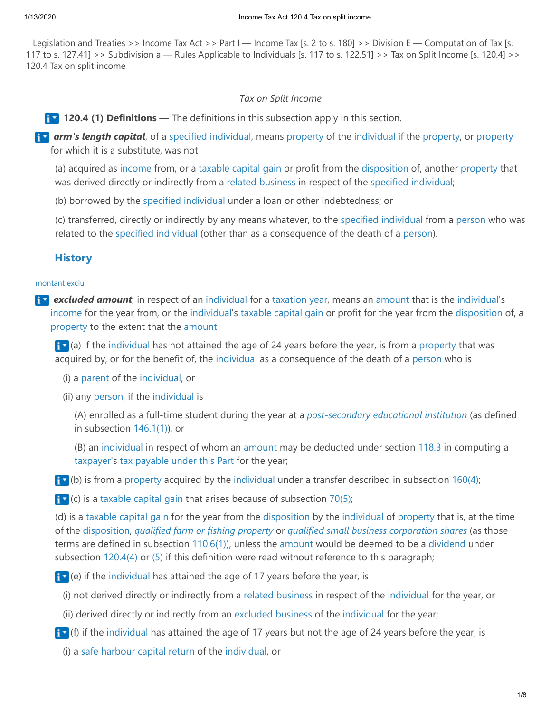Legislation and Treaties >> Income Tax Act >> Part I — Income Tax [s. 2 to s. 180] >> Division E — Computation of Tax [s. 117 to s. 127.41] >> Subdivision a — Rules Applicable to Individuals [s. 117 to s. 122.51] >> Tax on Split Income [s. 120.4] >> 120.4 Tax on split income

### *Tax on Split Income*

**120.4 (1) Definitions** — The definitions in this subsection apply in this section.

*arm's length capital*, of a specified individual, means property of the individual if the property, or property for which it is a substitute, was not

(a) acquired as income from, or a taxable capital gain or profit from the disposition of, another property that was derived directly or indirectly from a related business in respect of the specified individual;

(b) borrowed by the specified individual under a loan or other indebtedness; or

(c) transferred, directly or indirectly by any means whatever, to the specified individual from a person who was related to the specified individual (other than as a consequence of the death of a person).

# **History**

### montant exclu

*i excluded amount*, in respect of an individual for a taxation year, means an amount that is the individual's income for the year from, or the individual's taxable capital gain or profit for the year from the disposition of, a property to the extent that the amount

 $\mathbf{i}$  of a) if the individual has not attained the age of 24 years before the year, is from a property that was acquired by, or for the benefit of, the individual as a consequence of the death of a person who is

(i) a parent of the individual, or

(ii) any person, if the individual is

(A) enrolled as a full-time student during the year at a *post-secondary educational institution* (as defined in subsection 146.1(1)), or

(B) an individual in respect of whom an amount may be deducted under section 118.3 in computing a taxpayer's tax payable under this Part for the year;

 $\mathbf{F}$  (b) is from a property acquired by the individual under a transfer described in subsection 160(4);

 $\mathbf{i} \cdot \mathbf{c}$  (c) is a taxable capital gain that arises because of subsection 70(5);

(d) is a taxable capital gain for the year from the disposition by the individual of property that is, at the time of the disposition, *qualified farm or fishing property* or *qualified small business corporation shares* (as those terms are defined in subsection 110.6(1)), unless the amount would be deemed to be a dividend under subsection 120.4(4) or (5) if this definition were read without reference to this paragraph;

 $\mathbf{F}$  (e) if the individual has attained the age of 17 years before the year, is

(i) not derived directly or indirectly from a related business in respect of the individual for the year, or

(ii) derived directly or indirectly from an excluded business of the individual for the year;

 $\mathbf{f}$  of firm the individual has attained the age of 17 years but not the age of 24 years before the year, is

(i) a safe harbour capital return of the individual, or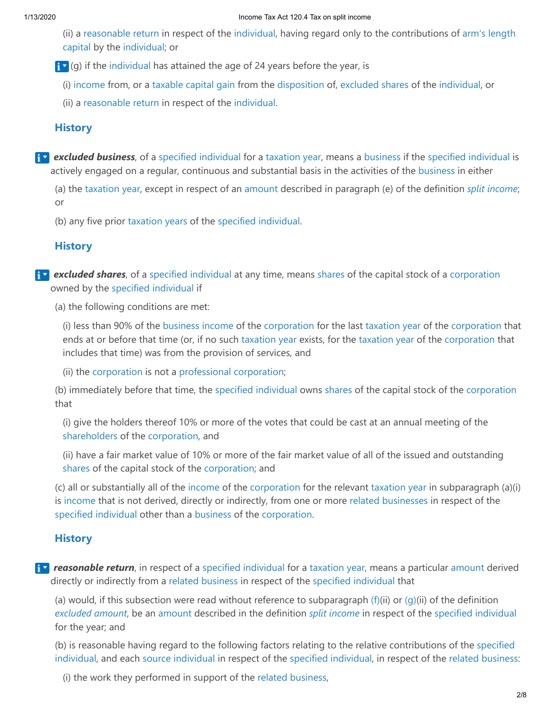#### 1/13/2020 Income Tax Act 120.4 Tax on split income

(ii) a reasonable return in respect of the individual, having regard only to the contributions of arm's length capital by the individual; or

 $\mathbf{g}$  (g) if the individual has attained the age of 24 years before the year, is

(i) income from, or a taxable capital gain from the disposition of, excluded shares of the individual, or

(ii) a reasonable return in respect of the individual.

## **History**

*i excluded business*, of a specified individual for a taxation year, means a business if the specified individual is actively engaged on a regular, continuous and substantial basis in the activities of the business in either

(a) the taxation year, except in respect of an amount described in paragraph (e) of the definition *split income*; or

(b) any five prior taxation years of the specified individual.

### **History**

*excluded shares*, of a specified individual at any time, means shares of the capital stock of a corporation owned by the specified individual if

(a) the following conditions are met:

(i) less than 90% of the business income of the corporation for the last taxation year of the corporation that ends at or before that time (or, if no such taxation year exists, for the taxation year of the corporation that includes that time) was from the provision of services, and

(ii) the corporation is not a professional corporation;

(b) immediately before that time, the specified individual owns shares of the capital stock of the corporation that

(i) give the holders thereof 10% or more of the votes that could be cast at an annual meeting of the shareholders of the corporation, and

(ii) have a fair market value of 10% or more of the fair market value of all of the issued and outstanding shares of the capital stock of the corporation; and

(c) all or substantially all of the income of the corporation for the relevant taxation year in subparagraph (a)(i) is income that is not derived, directly or indirectly, from one or more related businesses in respect of the specified individual other than a business of the corporation.

### **History**

*i r reasonable return,* in respect of a specified individual for a taxation year, means a particular amount derived directly or indirectly from a related business in respect of the specified individual that

(a) would, if this subsection were read without reference to subparagraph (f)(ii) or (g)(ii) of the definition *excluded amount*, be an amount described in the definition *split income* in respect of the specified individual for the year; and

(b) is reasonable having regard to the following factors relating to the relative contributions of the specified individual, and each source individual in respect of the specified individual, in respect of the related business:

(i) the work they performed in support of the related business,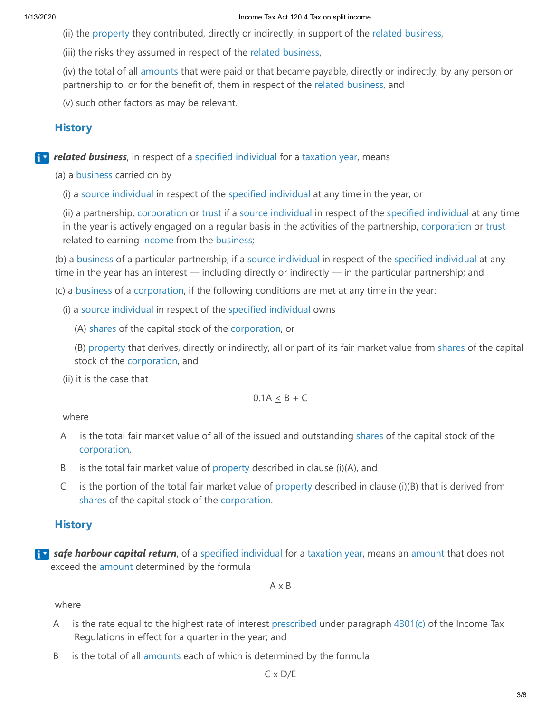#### 1/13/2020 Income Tax Act 120.4 Tax on split income

(ii) the property they contributed, directly or indirectly, in support of the related business,

(iii) the risks they assumed in respect of the related business,

(iv) the total of all amounts that were paid or that became payable, directly or indirectly, by any person or partnership to, or for the benefit of, them in respect of the related business, and

(v) such other factors as may be relevant.

## **History**

*f r related business, in respect of a specified individual for a taxation year, means* 

(a) a business carried on by

(i) a source individual in respect of the specified individual at any time in the year, or

(ii) a partnership, corporation or trust if a source individual in respect of the specified individual at any time in the year is actively engaged on a regular basis in the activities of the partnership, corporation or trust related to earning income from the business;

(b) a business of a particular partnership, if a source individual in respect of the specified individual at any time in the year has an interest — including directly or indirectly — in the particular partnership; and

(c) a business of a corporation, if the following conditions are met at any time in the year:

- (i) a source individual in respect of the specified individual owns
	- (A) shares of the capital stock of the corporation, or

(B) property that derives, directly or indirectly, all or part of its fair market value from shares of the capital stock of the corporation, and

(ii) it is the case that

$$
0.1A \leq B + C
$$

#### where

- A is the total fair market value of all of the issued and outstanding shares of the capital stock of the corporation,
- B is the total fair market value of property described in clause (i)(A), and
- C is the portion of the total fair market value of property described in clause  $(i)(B)$  that is derived from shares of the capital stock of the corporation.

### **History**

*f safe harbour capital return*, of a specified individual for a taxation year, means an amount that does not exceed the amount determined by the formula

A x B

where

- A is the rate equal to the highest rate of interest prescribed under paragraph 4301(c) of the Income Tax Regulations in effect for a quarter in the year; and
- B is the total of all amounts each of which is determined by the formula

C x D/E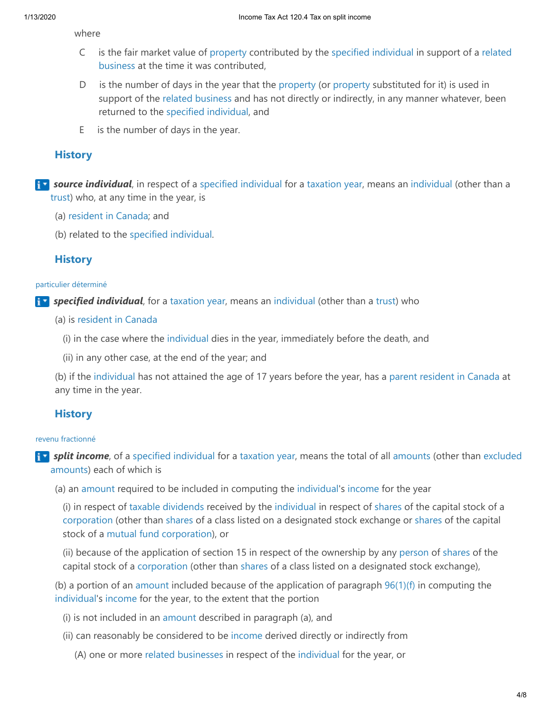where

- C is the fair market value of property contributed by the specified individual in support of a related business at the time it was contributed,
- D is the number of days in the year that the property (or property substituted for it) is used in support of the related business and has not directly or indirectly, in any manner whatever, been returned to the specified individual, and
- E is the number of days in the year.

## **History**

*source individual*, in respect of a specified individual for a taxation year, means an individual (other than a trust) who, at any time in the year, is

- (a) resident in Canada; and
- (b) related to the specified individual.

## **History**

### particulier déterminé

*i specified individual*, for a taxation year, means an individual (other than a trust) who

(a) is resident in Canada

(i) in the case where the individual dies in the year, immediately before the death, and

(ii) in any other case, at the end of the year; and

(b) if the individual has not attained the age of 17 years before the year, has a parent resident in Canada at any time in the year.

## **History**

### revenu fractionné

*f* split income, of a specified individual for a taxation year, means the total of all amounts (other than excluded amounts) each of which is

(a) an amount required to be included in computing the individual's income for the year

(i) in respect of taxable dividends received by the individual in respect of shares of the capital stock of a corporation (other than shares of a class listed on a designated stock exchange or shares of the capital stock of a mutual fund corporation), or

(ii) because of the application of section 15 in respect of the ownership by any person of shares of the capital stock of a corporation (other than shares of a class listed on a designated stock exchange),

(b) a portion of an amount included because of the application of paragraph  $96(1)(f)$  in computing the individual's income for the year, to the extent that the portion

- (i) is not included in an amount described in paragraph (a), and
- (ii) can reasonably be considered to be income derived directly or indirectly from
	- (A) one or more related businesses in respect of the individual for the year, or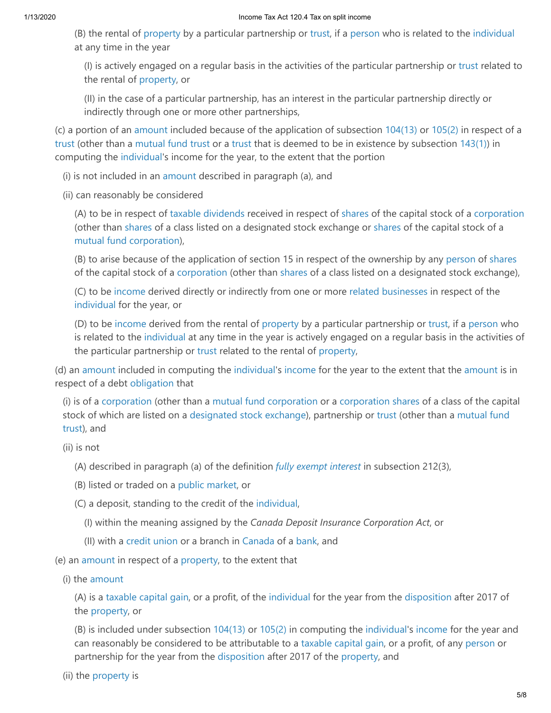(B) the rental of property by a particular partnership or trust, if a person who is related to the individual at any time in the year

(I) is actively engaged on a regular basis in the activities of the particular partnership or trust related to the rental of property, or

(II) in the case of a particular partnership, has an interest in the particular partnership directly or indirectly through one or more other partnerships,

(c) a portion of an amount included because of the application of subsection 104(13) or 105(2) in respect of a trust (other than a mutual fund trust or a trust that is deemed to be in existence by subsection 143(1)) in computing the individual's income for the year, to the extent that the portion

(i) is not included in an amount described in paragraph (a), and

(ii) can reasonably be considered

(A) to be in respect of taxable dividends received in respect of shares of the capital stock of a corporation (other than shares of a class listed on a designated stock exchange or shares of the capital stock of a mutual fund corporation),

(B) to arise because of the application of section 15 in respect of the ownership by any person of shares of the capital stock of a corporation (other than shares of a class listed on a designated stock exchange),

(C) to be income derived directly or indirectly from one or more related businesses in respect of the individual for the year, or

(D) to be income derived from the rental of property by a particular partnership or trust, if a person who is related to the individual at any time in the year is actively engaged on a regular basis in the activities of the particular partnership or trust related to the rental of property,

(d) an amount included in computing the individual's income for the year to the extent that the amount is in respect of a debt obligation that

(i) is of a corporation (other than a mutual fund corporation or a corporation shares of a class of the capital stock of which are listed on a designated stock exchange), partnership or trust (other than a mutual fund trust), and

- (ii) is not
	- (A) described in paragraph (a) of the definition *fully exempt interest* in subsection 212(3),
	- (B) listed or traded on a public market, or
	- (C) a deposit, standing to the credit of the individual,
		- (I) within the meaning assigned by the *Canada Deposit Insurance Corporation Act*, or
		- (II) with a credit union or a branch in Canada of a bank, and

(e) an amount in respect of a property, to the extent that

(i) the amount

(A) is a taxable capital gain, or a profit, of the individual for the year from the disposition after 2017 of the property, or

(B) is included under subsection 104(13) or 105(2) in computing the individual's income for the year and can reasonably be considered to be attributable to a taxable capital gain, or a profit, of any person or partnership for the year from the disposition after 2017 of the property, and

(ii) the property is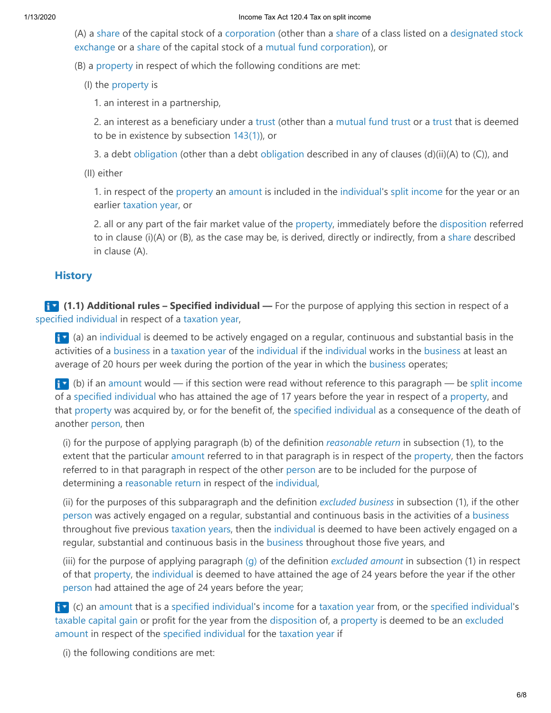(A) a share of the capital stock of a corporation (other than a share of a class listed on a designated stock exchange or a share of the capital stock of a mutual fund corporation), or

(B) a property in respect of which the following conditions are met:

(I) the property is

1. an interest in a partnership,

2. an interest as a beneficiary under a trust (other than a mutual fund trust or a trust that is deemed to be in existence by subsection 143(1)), or

3. a debt obligation (other than a debt obligation described in any of clauses (d)(ii)(A) to (C)), and

(II) either

1. in respect of the property an amount is included in the individual's split income for the year or an earlier taxation year, or

2. all or any part of the fair market value of the property, immediately before the disposition referred to in clause (i)(A) or (B), as the case may be, is derived, directly or indirectly, from a share described in clause (A).

## **History**

**(1.1) Additional rules – Specified individual —** For the purpose of applying this section in respect of a specified individual in respect of a taxation year,

 $\mathbf{f}$  (a) an individual is deemed to be actively engaged on a regular, continuous and substantial basis in the activities of a business in a taxation year of the individual if the individual works in the business at least an average of 20 hours per week during the portion of the year in which the business operates;

 $\mathbf{F}$  (b) if an amount would — if this section were read without reference to this paragraph — be split income of a specified individual who has attained the age of 17 years before the year in respect of a property, and that property was acquired by, or for the benefit of, the specified individual as a consequence of the death of another person, then

(i) for the purpose of applying paragraph (b) of the definition *reasonable return* in subsection (1), to the extent that the particular amount referred to in that paragraph is in respect of the property, then the factors referred to in that paragraph in respect of the other person are to be included for the purpose of determining a reasonable return in respect of the individual,

(ii) for the purposes of this subparagraph and the definition *excluded business* in subsection (1), if the other person was actively engaged on a regular, substantial and continuous basis in the activities of a business throughout five previous taxation years, then the individual is deemed to have been actively engaged on a regular, substantial and continuous basis in the business throughout those five years, and

(iii) for the purpose of applying paragraph (g) of the definition *excluded amount* in subsection (1) in respect of that property, the individual is deemed to have attained the age of 24 years before the year if the other person had attained the age of 24 years before the year;

 $\mathbf{r}$  (c) an amount that is a specified individual's income for a taxation year from, or the specified individual's taxable capital gain or profit for the year from the disposition of, a property is deemed to be an excluded amount in respect of the specified individual for the taxation year if

(i) the following conditions are met: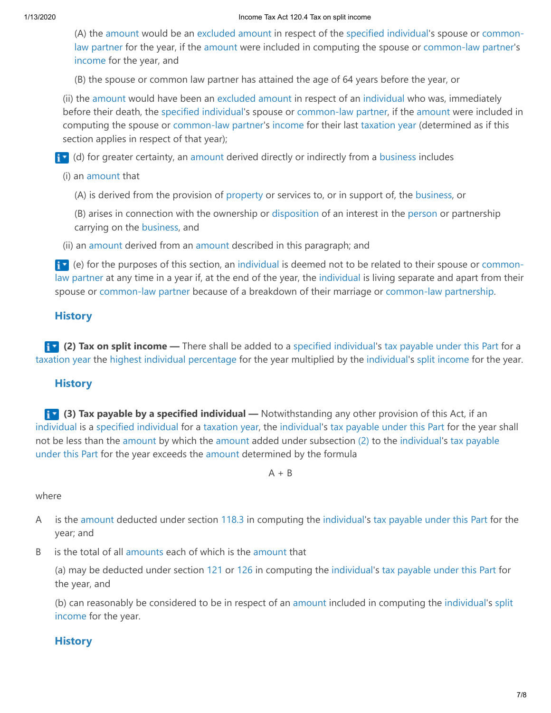(A) the amount would be an excluded amount in respect of the specified individual's spouse or commonlaw partner for the year, if the amount were included in computing the spouse or common-law partner's income for the year, and

(B) the spouse or common law partner has attained the age of 64 years before the year, or

(ii) the amount would have been an excluded amount in respect of an individual who was, immediately before their death, the specified individual's spouse or common-law partner, if the amount were included in computing the spouse or common-law partner's income for their last taxation year (determined as if this section applies in respect of that year);

 $\mathbf{i}$   $\mathbf{v}$  (d) for greater certainty, an amount derived directly or indirectly from a business includes

(i) an amount that

(A) is derived from the provision of property or services to, or in support of, the business, or

(B) arises in connection with the ownership or disposition of an interest in the person or partnership carrying on the business, and

(ii) an amount derived from an amount described in this paragraph; and

 $\mathbf{F}$  (e) for the purposes of this section, an individual is deemed not to be related to their spouse or commonlaw partner at any time in a year if, at the end of the year, the individual is living separate and apart from their spouse or common-law partner because of a breakdown of their marriage or common-law partnership.

# **History**

**(2) Tax on split income —** There shall be added to a specified individual's tax payable under this Part for a taxation year the highest individual percentage for the year multiplied by the individual's split income for the year.

# **History**

**(3) Tax payable by a specified individual —** Notwithstanding any other provision of this Act, if an individual is a specified individual for a taxation year, the individual's tax payable under this Part for the year shall not be less than the amount by which the amount added under subsection (2) to the individual's tax payable under this Part for the year exceeds the amount determined by the formula

 $A + B$ 

### where

- A is the amount deducted under section 118.3 in computing the individual's tax payable under this Part for the year; and
- B is the total of all amounts each of which is the amount that

(a) may be deducted under section 121 or 126 in computing the individual's tax payable under this Part for the year, and

(b) can reasonably be considered to be in respect of an amount included in computing the individual's split income for the year.

# **History**